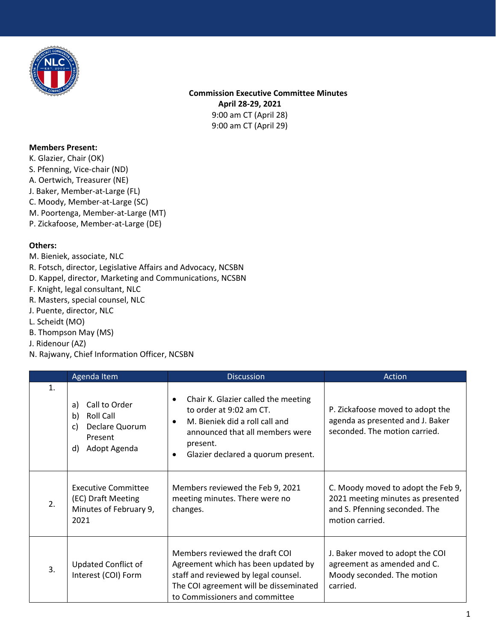

 **Commission Executive Committee Minutes April 28-29, 2021** 9:00 am CT (April 28) 9:00 am CT (April 29)

## **Members Present:**

- K. Glazier, Chair (OK)
- S. Pfenning, Vice-chair (ND)
- A. Oertwich, Treasurer (NE)
- J. Baker, Member-at-Large (FL)
- C. Moody, Member-at-Large (SC)
- M. Poortenga, Member-at-Large (MT)
- P. Zickafoose, Member-at-Large (DE)

## **Others:**

- M. Bieniek, associate, NLC
- R. Fotsch, director, Legislative Affairs and Advocacy, NCSBN
- D. Kappel, director, Marketing and Communications, NCSBN
- F. Knight, legal consultant, NLC
- R. Masters, special counsel, NLC
- J. Puente, director, NLC
- L. Scheidt (MO)
- B. Thompson May (MS)
- J. Ridenour (AZ)
- N. Rajwany, Chief Information Officer, NCSBN

|    | Agenda Item                                                                                     | <b>Discussion</b>                                                                                                                                                                                            | Action                                                                                                                      |
|----|-------------------------------------------------------------------------------------------------|--------------------------------------------------------------------------------------------------------------------------------------------------------------------------------------------------------------|-----------------------------------------------------------------------------------------------------------------------------|
| 1. | Call to Order<br>a)<br>Roll Call<br>b)<br>Declare Quorum<br>C)<br>Present<br>Adopt Agenda<br>d) | Chair K. Glazier called the meeting<br>$\bullet$<br>to order at 9:02 am CT.<br>M. Bieniek did a roll call and<br>٠<br>announced that all members were<br>present.<br>Glazier declared a quorum present.<br>٠ | P. Zickafoose moved to adopt the<br>agenda as presented and J. Baker<br>seconded. The motion carried.                       |
| 2. | <b>Executive Committee</b><br>(EC) Draft Meeting<br>Minutes of February 9,<br>2021              | Members reviewed the Feb 9, 2021<br>meeting minutes. There were no<br>changes.                                                                                                                               | C. Moody moved to adopt the Feb 9,<br>2021 meeting minutes as presented<br>and S. Pfenning seconded. The<br>motion carried. |
| 3. | <b>Updated Conflict of</b><br>Interest (COI) Form                                               | Members reviewed the draft COI<br>Agreement which has been updated by<br>staff and reviewed by legal counsel.<br>The COI agreement will be disseminated<br>to Commissioners and committee                    | J. Baker moved to adopt the COI<br>agreement as amended and C.<br>Moody seconded. The motion<br>carried.                    |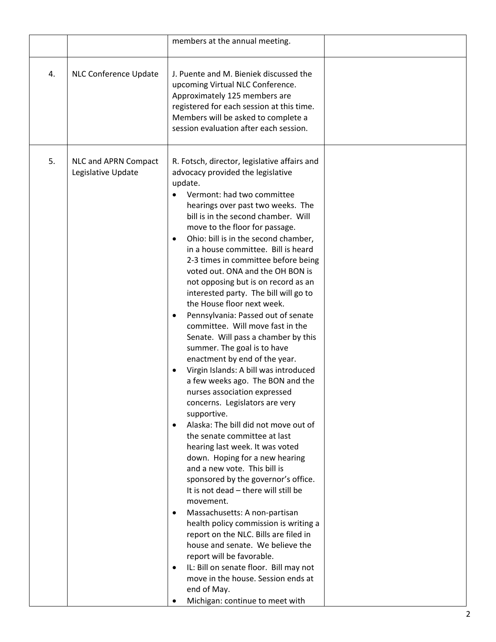| <b>NLC Conference Update</b><br>J. Puente and M. Bieniek discussed the<br>4.<br>upcoming Virtual NLC Conference.<br>Approximately 125 members are<br>registered for each session at this time.<br>Members will be asked to complete a<br>session evaluation after each session.<br>5.<br>NLC and APRN Compact<br>R. Fotsch, director, legislative affairs and<br>Legislative Update<br>advocacy provided the legislative<br>update.<br>Vermont: had two committee<br>hearings over past two weeks. The<br>bill is in the second chamber. Will<br>move to the floor for passage.<br>Ohio: bill is in the second chamber,<br>$\bullet$<br>in a house committee. Bill is heard<br>2-3 times in committee before being<br>voted out. ONA and the OH BON is<br>not opposing but is on record as an<br>interested party. The bill will go to<br>the House floor next week.<br>Pennsylvania: Passed out of senate<br>$\bullet$<br>committee. Will move fast in the<br>Senate. Will pass a chamber by this<br>summer. The goal is to have<br>enactment by end of the year.<br>Virgin Islands: A bill was introduced<br>$\bullet$<br>a few weeks ago. The BON and the<br>nurses association expressed<br>concerns. Legislators are very<br>supportive.<br>Alaska: The bill did not move out of<br>$\bullet$<br>the senate committee at last<br>hearing last week. It was voted<br>down. Hoping for a new hearing<br>and a new vote. This bill is<br>sponsored by the governor's office.<br>It is not dead - there will still be<br>movement. |  | members at the annual meeting.             |  |
|-------------------------------------------------------------------------------------------------------------------------------------------------------------------------------------------------------------------------------------------------------------------------------------------------------------------------------------------------------------------------------------------------------------------------------------------------------------------------------------------------------------------------------------------------------------------------------------------------------------------------------------------------------------------------------------------------------------------------------------------------------------------------------------------------------------------------------------------------------------------------------------------------------------------------------------------------------------------------------------------------------------------------------------------------------------------------------------------------------------------------------------------------------------------------------------------------------------------------------------------------------------------------------------------------------------------------------------------------------------------------------------------------------------------------------------------------------------------------------------------------------------------------------------|--|--------------------------------------------|--|
|                                                                                                                                                                                                                                                                                                                                                                                                                                                                                                                                                                                                                                                                                                                                                                                                                                                                                                                                                                                                                                                                                                                                                                                                                                                                                                                                                                                                                                                                                                                                     |  |                                            |  |
| health policy commission is writing a<br>report on the NLC. Bills are filed in<br>house and senate. We believe the<br>report will be favorable.<br>IL: Bill on senate floor. Bill may not<br>$\bullet$<br>move in the house. Session ends at<br>end of May.<br>Michigan: continue to meet with                                                                                                                                                                                                                                                                                                                                                                                                                                                                                                                                                                                                                                                                                                                                                                                                                                                                                                                                                                                                                                                                                                                                                                                                                                      |  | Massachusetts: A non-partisan<br>$\bullet$ |  |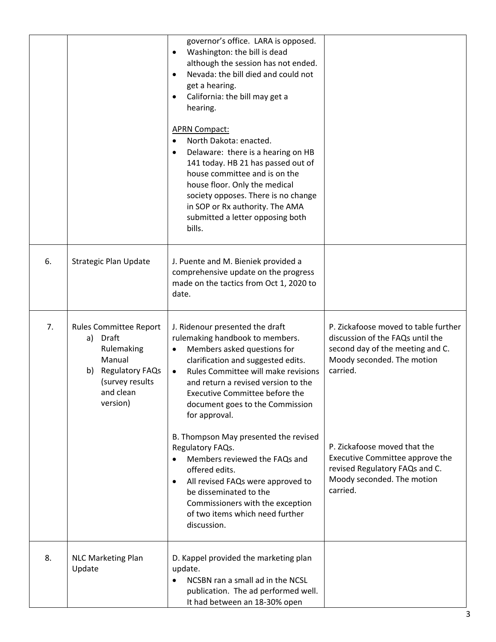|    |                                                                                                                                               | governor's office. LARA is opposed.<br>Washington: the bill is dead<br>although the session has not ended.<br>Nevada: the bill died and could not<br>$\bullet$<br>get a hearing.<br>California: the bill may get a<br>hearing.<br><b>APRN Compact:</b><br>North Dakota: enacted.<br>Delaware: there is a hearing on HB<br>$\bullet$<br>141 today. HB 21 has passed out of<br>house committee and is on the<br>house floor. Only the medical<br>society opposes. There is no change<br>in SOP or Rx authority. The AMA<br>submitted a letter opposing both<br>bills. |                                                                                                                                                                                                                                                                                                       |
|----|-----------------------------------------------------------------------------------------------------------------------------------------------|---------------------------------------------------------------------------------------------------------------------------------------------------------------------------------------------------------------------------------------------------------------------------------------------------------------------------------------------------------------------------------------------------------------------------------------------------------------------------------------------------------------------------------------------------------------------|-------------------------------------------------------------------------------------------------------------------------------------------------------------------------------------------------------------------------------------------------------------------------------------------------------|
| 6. | <b>Strategic Plan Update</b>                                                                                                                  | J. Puente and M. Bieniek provided a<br>comprehensive update on the progress<br>made on the tactics from Oct 1, 2020 to<br>date.                                                                                                                                                                                                                                                                                                                                                                                                                                     |                                                                                                                                                                                                                                                                                                       |
| 7. | <b>Rules Committee Report</b><br>a) Draft<br>Rulemaking<br>Manual<br><b>Regulatory FAQs</b><br>b)<br>(survey results<br>and clean<br>version) | J. Ridenour presented the draft<br>rulemaking handbook to members.<br>Members asked questions for<br>clarification and suggested edits.<br>Rules Committee will make revisions<br>$\bullet$<br>and return a revised version to the<br>Executive Committee before the<br>document goes to the Commission<br>for approval.<br>B. Thompson May presented the revised<br>Regulatory FAQs.<br>Members reviewed the FAQs and<br>$\bullet$<br>offered edits.<br>All revised FAQs were approved to<br>be disseminated to the                                                | P. Zickafoose moved to table further<br>discussion of the FAQs until the<br>second day of the meeting and C.<br>Moody seconded. The motion<br>carried.<br>P. Zickafoose moved that the<br>Executive Committee approve the<br>revised Regulatory FAQs and C.<br>Moody seconded. The motion<br>carried. |
|    |                                                                                                                                               | Commissioners with the exception<br>of two items which need further<br>discussion.                                                                                                                                                                                                                                                                                                                                                                                                                                                                                  |                                                                                                                                                                                                                                                                                                       |
| 8. | <b>NLC Marketing Plan</b><br>Update                                                                                                           | D. Kappel provided the marketing plan<br>update.<br>NCSBN ran a small ad in the NCSL<br>$\bullet$<br>publication. The ad performed well.<br>It had between an 18-30% open                                                                                                                                                                                                                                                                                                                                                                                           |                                                                                                                                                                                                                                                                                                       |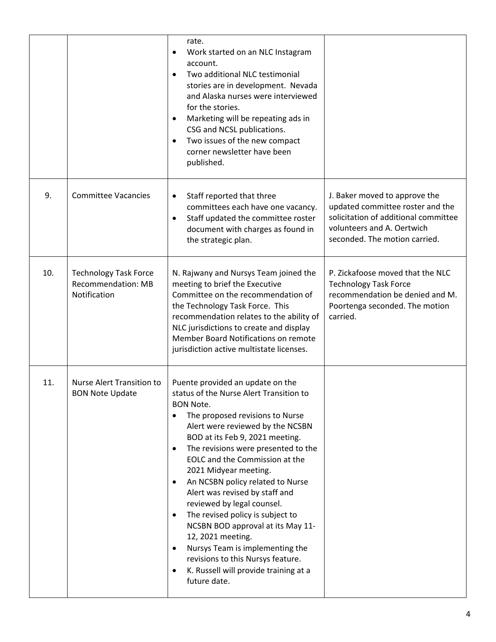|     |                                                                           | rate.<br>Work started on an NLC Instagram<br>$\bullet$<br>account.<br>Two additional NLC testimonial<br>$\bullet$<br>stories are in development. Nevada<br>and Alaska nurses were interviewed<br>for the stories.<br>Marketing will be repeating ads in<br>$\bullet$<br>CSG and NCSL publications.<br>Two issues of the new compact<br>$\bullet$<br>corner newsletter have been<br>published.                                                                                                                                                                                                                                                                                                                                |                                                                                                                                                                          |
|-----|---------------------------------------------------------------------------|------------------------------------------------------------------------------------------------------------------------------------------------------------------------------------------------------------------------------------------------------------------------------------------------------------------------------------------------------------------------------------------------------------------------------------------------------------------------------------------------------------------------------------------------------------------------------------------------------------------------------------------------------------------------------------------------------------------------------|--------------------------------------------------------------------------------------------------------------------------------------------------------------------------|
| 9.  | <b>Committee Vacancies</b>                                                | Staff reported that three<br>$\bullet$<br>committees each have one vacancy.<br>Staff updated the committee roster<br>$\bullet$<br>document with charges as found in<br>the strategic plan.                                                                                                                                                                                                                                                                                                                                                                                                                                                                                                                                   | J. Baker moved to approve the<br>updated committee roster and the<br>solicitation of additional committee<br>volunteers and A. Oertwich<br>seconded. The motion carried. |
| 10. | <b>Technology Task Force</b><br><b>Recommendation: MB</b><br>Notification | N. Rajwany and Nursys Team joined the<br>meeting to brief the Executive<br>Committee on the recommendation of<br>the Technology Task Force. This<br>recommendation relates to the ability of<br>NLC jurisdictions to create and display<br>Member Board Notifications on remote<br>jurisdiction active multistate licenses.                                                                                                                                                                                                                                                                                                                                                                                                  | P. Zickafoose moved that the NLC<br><b>Technology Task Force</b><br>recommendation be denied and M.<br>Poortenga seconded. The motion<br>carried.                        |
| 11. | Nurse Alert Transition to<br><b>BON Note Update</b>                       | Puente provided an update on the<br>status of the Nurse Alert Transition to<br><b>BON Note.</b><br>The proposed revisions to Nurse<br>$\bullet$<br>Alert were reviewed by the NCSBN<br>BOD at its Feb 9, 2021 meeting.<br>The revisions were presented to the<br>$\bullet$<br>EOLC and the Commission at the<br>2021 Midyear meeting.<br>An NCSBN policy related to Nurse<br>$\bullet$<br>Alert was revised by staff and<br>reviewed by legal counsel.<br>The revised policy is subject to<br>$\bullet$<br>NCSBN BOD approval at its May 11-<br>12, 2021 meeting.<br>Nursys Team is implementing the<br>$\bullet$<br>revisions to this Nursys feature.<br>K. Russell will provide training at a<br>$\bullet$<br>future date. |                                                                                                                                                                          |